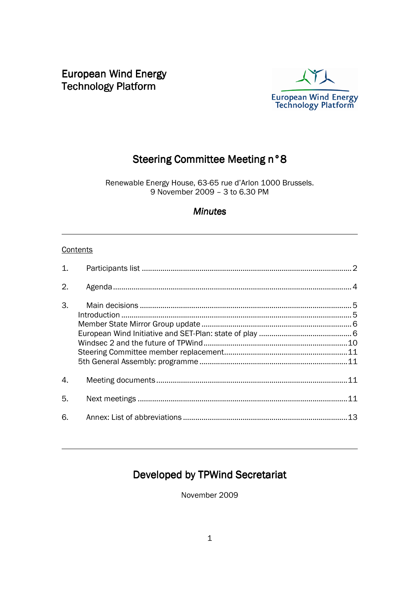European Wind Energy **Technology Platform** 



# Steering Committee Meeting n°8

Renewable Energy House, 63-65 rue d'Arlon 1000 Brussels. 9 November 2009 – 3 to 6.30 PM

### **Minutes**

#### **Contents**

 $\overline{a}$ 

 $\overline{a}$ 

| $\mathbf{1}$ . |  |
|----------------|--|
| 2.             |  |
| 3.             |  |
| 4.             |  |
| 5.             |  |
| 6.             |  |

# Developed by TPWind Secretariat

November 2009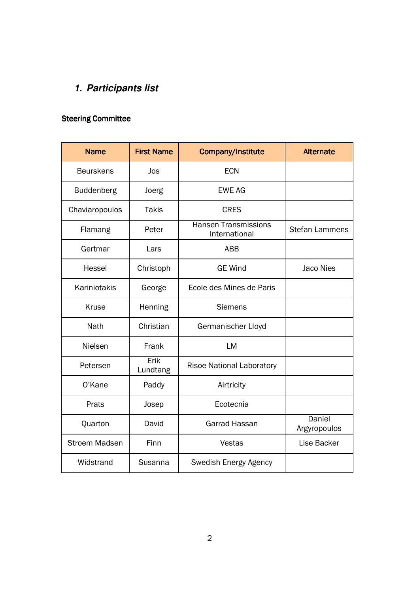# **1. Participants list**

## **Steering Committee**

| <b>Name</b>          | <b>First Name</b> | Company/Institute                            | <b>Alternate</b>       |
|----------------------|-------------------|----------------------------------------------|------------------------|
| <b>Beurskens</b>     | Jos               | <b>ECN</b>                                   |                        |
| <b>Buddenberg</b>    | Joerg             | <b>EWE AG</b>                                |                        |
| Chaviaropoulos       | <b>Takis</b>      | <b>CRES</b>                                  |                        |
| Flamang              | Peter             | <b>Hansen Transmissions</b><br>International | <b>Stefan Lammens</b>  |
| Gertmar              | Lars              | <b>ABB</b>                                   |                        |
| Hessel               | Christoph         | <b>GE Wind</b>                               | Jaco Nies              |
| Kariniotakis         | George            | Ecole des Mines de Paris                     |                        |
| Kruse                | Henning           | <b>Siemens</b>                               |                        |
| Nath                 | Christian         | Germanischer Lloyd                           |                        |
| Nielsen              | Frank             | <b>LM</b>                                    |                        |
| Petersen             | Erik<br>Lundtang  | <b>Risoe National Laboratory</b>             |                        |
| O'Kane               | Paddy             | Airtricity                                   |                        |
| Prats                | Josep             | Ecotecnia                                    |                        |
| Quarton              | David             | Garrad Hassan                                | Daniel<br>Argyropoulos |
| <b>Stroem Madsen</b> | Finn              | Vestas                                       | Lise Backer            |
| Widstrand            | Susanna           | Swedish Energy Agency                        |                        |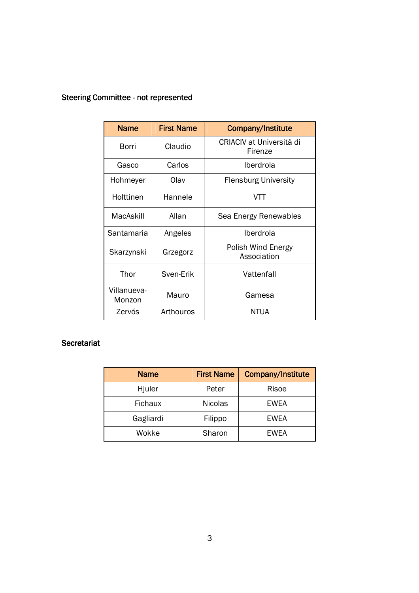| <b>Steering Committee - not represented</b> |  |
|---------------------------------------------|--|
|                                             |  |

| <b>Name</b>           | <b>First Name</b> | Company/Institute                   |
|-----------------------|-------------------|-------------------------------------|
| Borri                 | Claudio           | CRIACIV at Università di<br>Firenze |
| Gasco                 | Carlos            | Iberdrola                           |
| Hohmeyer              | Olav              | <b>Flensburg University</b>         |
| Holttinen             | Hannele           | VTT                                 |
| MacAskill             | Allan             | Sea Energy Renewables               |
| Santamaria            | Angeles           | Iberdrola                           |
| Skarzynski            | Grzegorz          | Polish Wind Energy<br>Association   |
| Thor                  | Sven-Erik         | Vattenfall                          |
| Villanueva-<br>Monzon | Mauro             | Gamesa                              |
| Zervós                | Arthouros         | NTUA                                |

### Secretariat

| <b>Name</b>    | <b>First Name</b> | <b>Company/Institute</b> |
|----------------|-------------------|--------------------------|
| Hjuler         | Peter             | Risoe                    |
| <b>Fichaux</b> | <b>Nicolas</b>    | EWEA                     |
| Gagliardi      | Filippo           | <b>EWEA</b>              |
| Wokke          | Sharon            | <b>EWEA</b>              |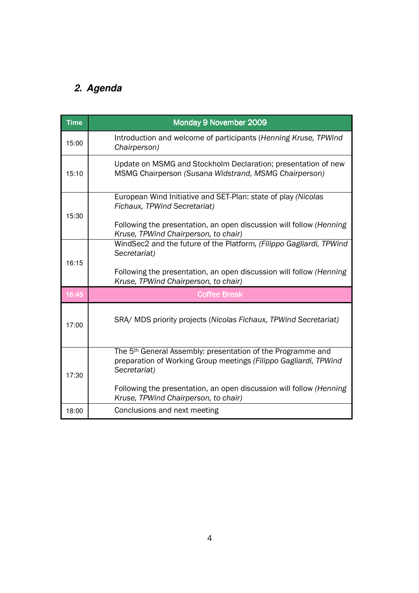# **2. Agenda**

| <b>Time</b> | Monday 9 November 2009                                                                                                                                                                                                                                                     |
|-------------|----------------------------------------------------------------------------------------------------------------------------------------------------------------------------------------------------------------------------------------------------------------------------|
| 15:00       | Introduction and welcome of participants (Henning Kruse, TPWind<br>Chairperson)                                                                                                                                                                                            |
| 15:10       | Update on MSMG and Stockholm Declaration; presentation of new<br>MSMG Chairperson (Susana Widstrand, MSMG Chairperson)                                                                                                                                                     |
| 15:30       | European Wind Initiative and SET-Plan: state of play (Nicolas<br>Fichaux, TPWind Secretariat)<br>Following the presentation, an open discussion will follow (Henning<br>Kruse, TPWind Chairperson, to chair)                                                               |
| 16:15       | WindSec2 and the future of the Platform, (Filippo Gagliardi, TPWind<br>Secretariat)<br>Following the presentation, an open discussion will follow (Henning<br>Kruse, TPWind Chairperson, to chair)                                                                         |
| 16:45       | <b>Coffee Break</b>                                                                                                                                                                                                                                                        |
| 17:00       | SRA/ MDS priority projects (Nicolas Fichaux, TPWind Secretariat)                                                                                                                                                                                                           |
| 17:30       | The 5 <sup>th</sup> General Assembly: presentation of the Programme and<br>preparation of Working Group meetings (Filippo Gagliardi, TPWind<br>Secretariat)<br>Following the presentation, an open discussion will follow (Henning<br>Kruse, TPWind Chairperson, to chair) |
| 18:00       | Conclusions and next meeting                                                                                                                                                                                                                                               |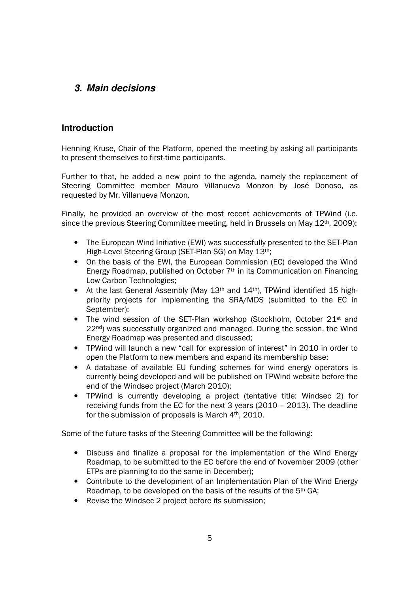## **3. Main decisions**

### **Introduction**

Henning Kruse, Chair of the Platform, opened the meeting by asking all participants to present themselves to first-time participants.

Further to that, he added a new point to the agenda, namely the replacement of Steering Committee member Mauro Villanueva Monzon by José Donoso, as requested by Mr. Villanueva Monzon.

Finally, he provided an overview of the most recent achievements of TPWind (i.e. since the previous Steering Committee meeting, held in Brussels on May 12<sup>th</sup>, 2009):

- The European Wind Initiative (EWI) was successfully presented to the SET-Plan High-Level Steering Group (SET-Plan SG) on May 13th;
- On the basis of the EWI, the European Commission (EC) developed the Wind Energy Roadmap, published on October 7th in its Communication on Financing Low Carbon Technologies;
- At the last General Assembly (May  $13<sup>th</sup>$  and  $14<sup>th</sup>$ ), TPWind identified 15 highpriority projects for implementing the SRA/MDS (submitted to the EC in September);
- The wind session of the SET-Plan workshop (Stockholm, October 21<sup>st</sup> and 22<sup>nd</sup>) was successfully organized and managed. During the session, the Wind Energy Roadmap was presented and discussed;
- TPWind will launch a new "call for expression of interest" in 2010 in order to open the Platform to new members and expand its membership base;
- A database of available EU funding schemes for wind energy operators is currently being developed and will be published on TPWind website before the end of the Windsec project (March 2010);
- TPWind is currently developing a project (tentative title: Windsec 2) for receiving funds from the EC for the next 3 years (2010 – 2013). The deadline for the submission of proposals is March 4th, 2010.

Some of the future tasks of the Steering Committee will be the following:

- Discuss and finalize a proposal for the implementation of the Wind Energy Roadmap, to be submitted to the EC before the end of November 2009 (other ETPs are planning to do the same in December);
- Contribute to the development of an Implementation Plan of the Wind Energy Roadmap, to be developed on the basis of the results of the 5th GA;
- Revise the Windsec 2 project before its submission;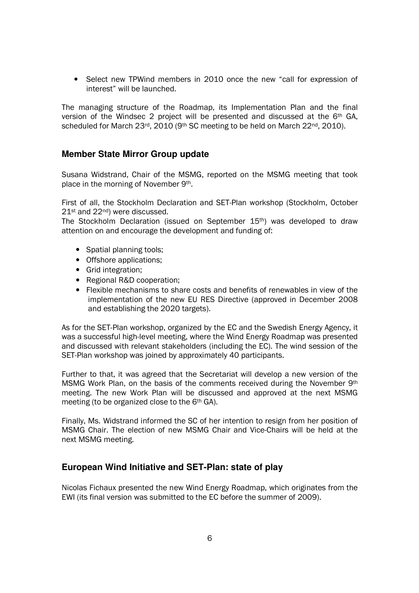• Select new TPWind members in 2010 once the new "call for expression of interest" will be launched.

The managing structure of the Roadmap, its Implementation Plan and the final version of the Windsec 2 project will be presented and discussed at the 6th GA, scheduled for March 23<sup>rd</sup>, 2010 (9<sup>th</sup> SC meeting to be held on March 22<sup>nd</sup>, 2010).

#### **Member State Mirror Group update**

Susana Widstrand, Chair of the MSMG, reported on the MSMG meeting that took place in the morning of November 9th.

First of all, the Stockholm Declaration and SET-Plan workshop (Stockholm, October 21<sup>st</sup> and 22<sup>nd</sup>) were discussed.

The Stockholm Declaration (issued on September 15th) was developed to draw attention on and encourage the development and funding of:

- Spatial planning tools;
- Offshore applications;
- Grid integration;
- Regional R&D cooperation;
- Flexible mechanisms to share costs and benefits of renewables in view of the implementation of the new EU RES Directive (approved in December 2008 and establishing the 2020 targets).

As for the SET-Plan workshop, organized by the EC and the Swedish Energy Agency, it was a successful high-level meeting, where the Wind Energy Roadmap was presented and discussed with relevant stakeholders (including the EC). The wind session of the SET-Plan workshop was joined by approximately 40 participants.

Further to that, it was agreed that the Secretariat will develop a new version of the MSMG Work Plan, on the basis of the comments received during the November 9th meeting. The new Work Plan will be discussed and approved at the next MSMG meeting (to be organized close to the 6th GA).

Finally, Ms. Widstrand informed the SC of her intention to resign from her position of MSMG Chair. The election of new MSMG Chair and Vice-Chairs will be held at the next MSMG meeting.

## **European Wind Initiative and SET-Plan: state of play**

Nicolas Fichaux presented the new Wind Energy Roadmap, which originates from the EWI (its final version was submitted to the EC before the summer of 2009).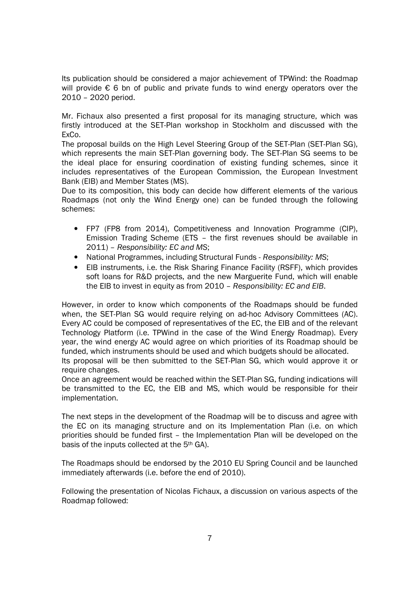Its publication should be considered a major achievement of TPWind: the Roadmap will provide € 6 bn of public and private funds to wind energy operators over the 2010 – 2020 period.

Mr. Fichaux also presented a first proposal for its managing structure, which was firstly introduced at the SET-Plan workshop in Stockholm and discussed with the ExCo.

The proposal builds on the High Level Steering Group of the SET-Plan (SET-Plan SG), which represents the main SET-Plan governing body. The SET-Plan SG seems to be the ideal place for ensuring coordination of existing funding schemes, since it includes representatives of the European Commission, the European Investment Bank (EIB) and Member States (MS).

Due to its composition, this body can decide how different elements of the various Roadmaps (not only the Wind Energy one) can be funded through the following schemes:

- FP7 (FP8 from 2014), Competitiveness and Innovation Programme (CIP), Emission Trading Scheme (ETS – the first revenues should be available in 2011) – Responsibility: EC and MS;
- National Programmes, including Structural Funds Responsibility: MS;
- EIB instruments, i.e. the Risk Sharing Finance Facility (RSFF), which provides soft loans for R&D projects, and the new Marguerite Fund, which will enable the EIB to invest in equity as from 2010 – Responsibility: EC and EIB.

However, in order to know which components of the Roadmaps should be funded when, the SET-Plan SG would require relying on ad-hoc Advisory Committees (AC). Every AC could be composed of representatives of the EC, the EIB and of the relevant Technology Platform (i.e. TPWind in the case of the Wind Energy Roadmap). Every year, the wind energy AC would agree on which priorities of its Roadmap should be funded, which instruments should be used and which budgets should be allocated. Its proposal will be then submitted to the SET-Plan SG, which would approve it or

require changes. Once an agreement would be reached within the SET-Plan SG, funding indications will be transmitted to the EC, the EIB and MS, which would be responsible for their implementation.

The next steps in the development of the Roadmap will be to discuss and agree with the EC on its managing structure and on its Implementation Plan (i.e. on which priorities should be funded first – the Implementation Plan will be developed on the basis of the inputs collected at the 5th GA).

The Roadmaps should be endorsed by the 2010 EU Spring Council and be launched immediately afterwards (i.e. before the end of 2010).

Following the presentation of Nicolas Fichaux, a discussion on various aspects of the Roadmap followed: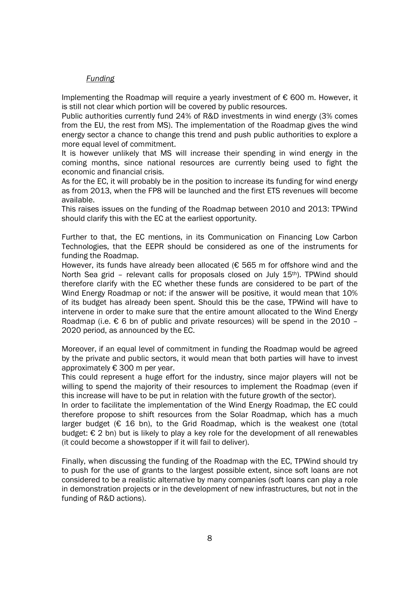#### Funding

Implementing the Roadmap will require a yearly investment of € 600 m. However, it is still not clear which portion will be covered by public resources.

Public authorities currently fund 24% of R&D investments in wind energy (3% comes from the EU, the rest from MS). The implementation of the Roadmap gives the wind energy sector a chance to change this trend and push public authorities to explore a more equal level of commitment.

It is however unlikely that MS will increase their spending in wind energy in the coming months, since national resources are currently being used to fight the economic and financial crisis.

As for the EC, it will probably be in the position to increase its funding for wind energy as from 2013, when the FP8 will be launched and the first ETS revenues will become available.

This raises issues on the funding of the Roadmap between 2010 and 2013: TPWind should clarify this with the EC at the earliest opportunity.

Further to that, the EC mentions, in its Communication on Financing Low Carbon Technologies, that the EEPR should be considered as one of the instruments for funding the Roadmap.

However, its funds have already been allocated ( $\epsilon$  565 m for offshore wind and the North Sea grid – relevant calls for proposals closed on July 15<sup>th</sup>). TPWind should therefore clarify with the EC whether these funds are considered to be part of the Wind Energy Roadmap or not: if the answer will be positive, it would mean that 10% of its budget has already been spent. Should this be the case, TPWind will have to intervene in order to make sure that the entire amount allocated to the Wind Energy Roadmap (i.e.  $\epsilon$  6 bn of public and private resources) will be spend in the 2010 – 2020 period, as announced by the EC.

Moreover, if an equal level of commitment in funding the Roadmap would be agreed by the private and public sectors, it would mean that both parties will have to invest approximately € 300 m per year.

This could represent a huge effort for the industry, since major players will not be willing to spend the majority of their resources to implement the Roadmap (even if this increase will have to be put in relation with the future growth of the sector).

In order to facilitate the implementation of the Wind Energy Roadmap, the EC could therefore propose to shift resources from the Solar Roadmap, which has a much larger budget ( $\epsilon$  16 bn), to the Grid Roadmap, which is the weakest one (total budget:  $\epsilon$  2 bn) but is likely to play a key role for the development of all renewables (it could become a showstopper if it will fail to deliver).

Finally, when discussing the funding of the Roadmap with the EC, TPWind should try to push for the use of grants to the largest possible extent, since soft loans are not considered to be a realistic alternative by many companies (soft loans can play a role in demonstration projects or in the development of new infrastructures, but not in the funding of R&D actions).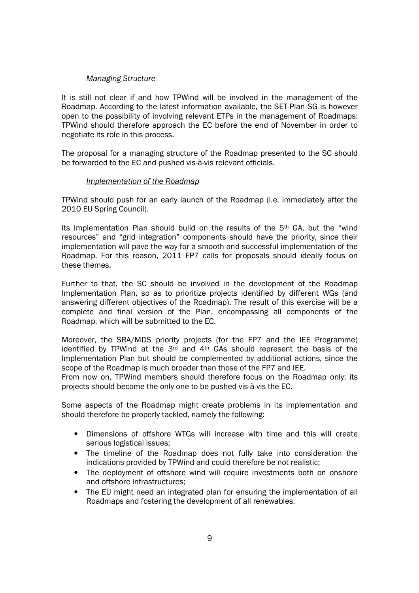#### Managing Structure

It is still not clear if and how TPWind will be involved in the management of the Roadmap. According to the latest information available, the SET-Plan SG is however open to the possibility of involving relevant ETPs in the management of Roadmaps: TPWind should therefore approach the EC before the end of November in order to negotiate its role in this process.

The proposal for a managing structure of the Roadmap presented to the SC should be forwarded to the EC and pushed vis-à-vis relevant officials.

#### Implementation of the Roadmap

TPWind should push for an early launch of the Roadmap (i.e. immediately after the 2010 EU Spring Council).

Its Implementation Plan should build on the results of the 5th GA, but the "wind resources" and "grid integration" components should have the priority, since their implementation will pave the way for a smooth and successful implementation of the Roadmap. For this reason, 2011 FP7 calls for proposals should ideally focus on these themes.

Further to that, the SC should be involved in the development of the Roadmap Implementation Plan, so as to prioritize projects identified by different WGs (and answering different objectives of the Roadmap). The result of this exercise will be a complete and final version of the Plan, encompassing all components of the Roadmap, which will be submitted to the EC.

Moreover, the SRA/MDS priority projects (for the FP7 and the IEE Programme) identified by TPWind at the  $3<sup>rd</sup>$  and  $4<sup>th</sup>$  GAs should represent the basis of the Implementation Plan but should be complemented by additional actions, since the scope of the Roadmap is much broader than those of the FP7 and IEE.

From now on, TPWind members should therefore focus on the Roadmap only: its projects should become the only one to be pushed vis-à-vis the EC.

Some aspects of the Roadmap might create problems in its implementation and should therefore be properly tackled, namely the following:

- Dimensions of offshore WTGs will increase with time and this will create serious logistical issues:
- The timeline of the Roadmap does not fully take into consideration the indications provided by TPWind and could therefore be not realistic;
- The deployment of offshore wind will require investments both on onshore and offshore infrastructures;
- The EU might need an integrated plan for ensuring the implementation of all Roadmaps and fostering the development of all renewables.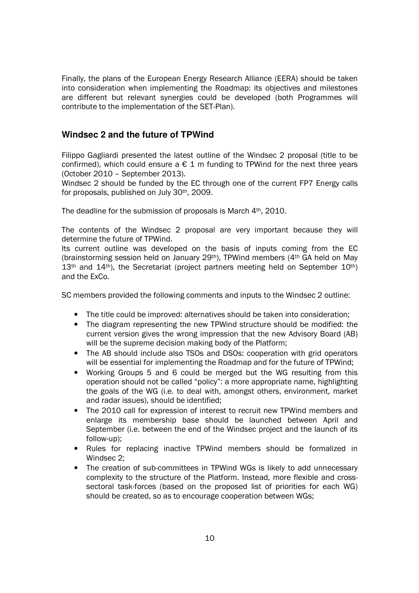Finally, the plans of the European Energy Research Alliance (EERA) should be taken into consideration when implementing the Roadmap: its objectives and milestones are different but relevant synergies could be developed (both Programmes will contribute to the implementation of the SET-Plan).

### **Windsec 2 and the future of TPWind**

Filippo Gagliardi presented the latest outline of the Windsec 2 proposal (title to be confirmed), which could ensure a  $\epsilon$  1 m funding to TPWind for the next three years (October 2010 – September 2013).

Windsec 2 should be funded by the EC through one of the current FP7 Energy calls for proposals, published on July 30th, 2009.

The deadline for the submission of proposals is March 4<sup>th</sup>, 2010.

The contents of the Windsec 2 proposal are very important because they will determine the future of TPWind.

Its current outline was developed on the basis of inputs coming from the EC (brainstorming session held on January 29<sup>th</sup>), TPWind members ( $4<sup>th</sup>$  GA held on May  $13<sup>th</sup>$  and  $14<sup>th</sup>$ ), the Secretariat (project partners meeting held on September  $10<sup>th</sup>$ ) and the ExCo.

SC members provided the following comments and inputs to the Windsec 2 outline:

- The title could be improved: alternatives should be taken into consideration;
- The diagram representing the new TPWind structure should be modified: the current version gives the wrong impression that the new Advisory Board (AB) will be the supreme decision making body of the Platform;
- The AB should include also TSOs and DSOs: cooperation with grid operators will be essential for implementing the Roadmap and for the future of TPWind;
- Working Groups 5 and 6 could be merged but the WG resulting from this operation should not be called "policy": a more appropriate name, highlighting the goals of the WG (i.e. to deal with, amongst others, environment, market and radar issues), should be identified;
- The 2010 call for expression of interest to recruit new TPWind members and enlarge its membership base should be launched between April and September (i.e. between the end of the Windsec project and the launch of its follow-up);
- Rules for replacing inactive TPWind members should be formalized in Windsec 2;
- The creation of sub-committees in TPWind WGs is likely to add unnecessary complexity to the structure of the Platform. Instead, more flexible and crosssectoral task-forces (based on the proposed list of priorities for each WG) should be created, so as to encourage cooperation between WGs;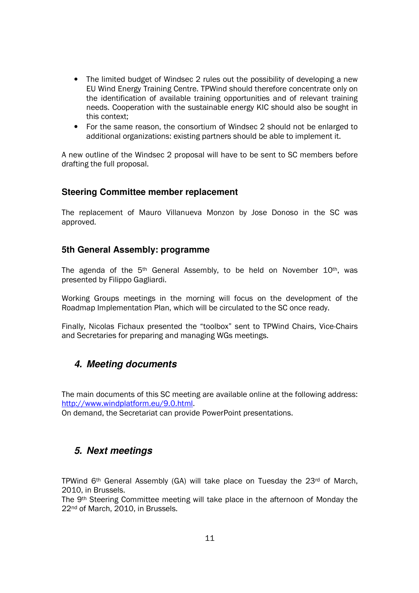- The limited budget of Windsec 2 rules out the possibility of developing a new EU Wind Energy Training Centre. TPWind should therefore concentrate only on the identification of available training opportunities and of relevant training needs. Cooperation with the sustainable energy KIC should also be sought in this context;
- For the same reason, the consortium of Windsec 2 should not be enlarged to additional organizations: existing partners should be able to implement it.

A new outline of the Windsec 2 proposal will have to be sent to SC members before drafting the full proposal.

#### **Steering Committee member replacement**

The replacement of Mauro Villanueva Monzon by Jose Donoso in the SC was approved.

#### **5th General Assembly: programme**

The agenda of the  $5<sup>th</sup>$  General Assembly, to be held on November  $10<sup>th</sup>$ , was presented by Filippo Gagliardi.

Working Groups meetings in the morning will focus on the development of the Roadmap Implementation Plan, which will be circulated to the SC once ready.

Finally, Nicolas Fichaux presented the "toolbox" sent to TPWind Chairs, Vice-Chairs and Secretaries for preparing and managing WGs meetings.

## **4. Meeting documents**

The main documents of this SC meeting are available online at the following address: http://www.windplatform.eu/9.0.html.

On demand, the Secretariat can provide PowerPoint presentations.

## **5. Next meetings**

TPWind 6<sup>th</sup> General Assembly (GA) will take place on Tuesday the 23<sup>rd</sup> of March, 2010, in Brussels.

The 9th Steering Committee meeting will take place in the afternoon of Monday the 22<sup>nd</sup> of March, 2010, in Brussels.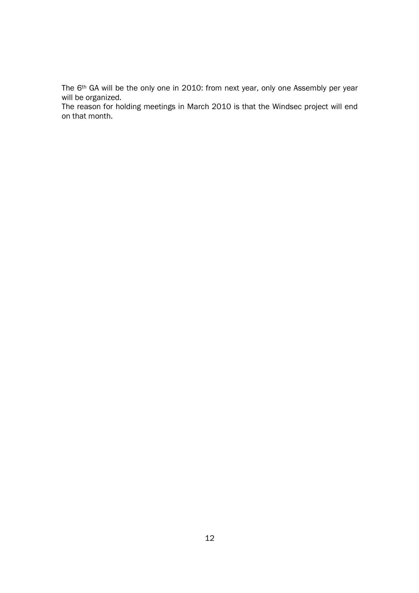The 6th GA will be the only one in 2010: from next year, only one Assembly per year will be organized.

The reason for holding meetings in March 2010 is that the Windsec project will end on that month.